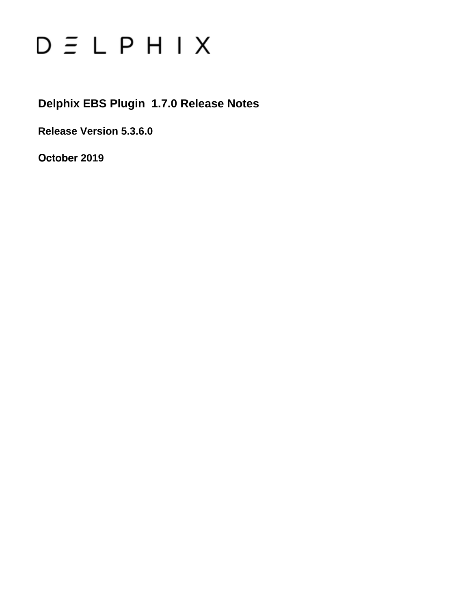# $D \subseteq L$   $P$   $H$   $I$   $X$

**Delphix EBS Plugin 1.7.0 Release Notes**

**Release Version 5.3.6.0**

**October 2019**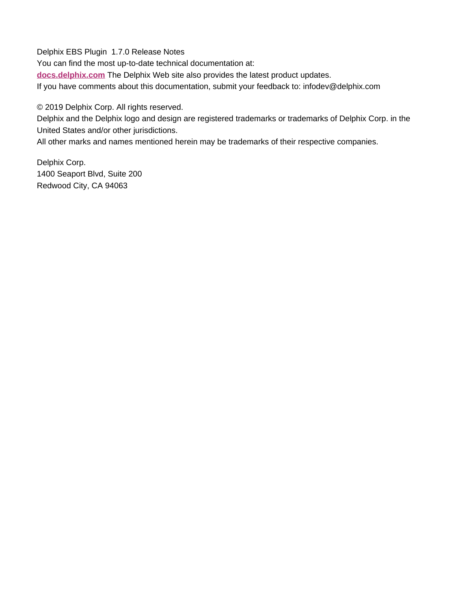Delphix EBS Plugin 1.7.0 Release Notes You can find the most up-to-date technical documentation at: **[docs.delphix.com](http://docs.delphix.com)** The Delphix Web site also provides the latest product updates. If you have comments about this documentation, submit your feedback to: infodev@delphix.com

© 2019 Delphix Corp. All rights reserved.

Delphix and the Delphix logo and design are registered trademarks or trademarks of Delphix Corp. in the United States and/or other jurisdictions.

All other marks and names mentioned herein may be trademarks of their respective companies.

Delphix Corp. 1400 Seaport Blvd, Suite 200 Redwood City, CA 94063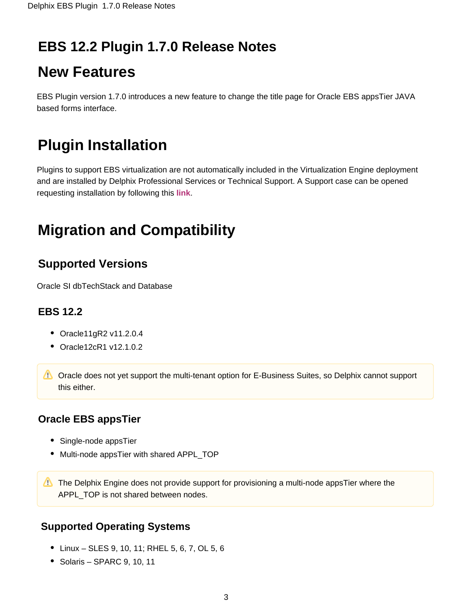## **EBS 12.2 Plugin 1.7.0 Release Notes**

# **New Features**

EBS Plugin version 1.7.0 introduces a new feature to change the title page for Oracle EBS appsTier JAVA based forms interface.

# **Plugin Installation**

Plugins to support EBS virtualization are not automatically included in the Virtualization Engine deployment and are installed by Delphix Professional Services or Technical Support. A Support case can be opened requesting installation by following this **[link](http://support-tickets.delphix.com/)**.

# **Migration and Compatibility**

### **Supported Versions**

Oracle SI dbTechStack and Database

### **EBS 12.2**

- Oracle11gR2 v11.2.0.4
- Oracle12cR1 v12.1.0.2

**C** Oracle does not yet support the multi-tenant option for E-Business Suites, so Delphix cannot support this either.

### **Oracle EBS appsTier**

- Single-node appsTier
- Multi-node appsTier with shared APPL TOP

The Delphix Engine does not provide support for provisioning a multi-node appsTier where the APPL TOP is not shared between nodes.

### **Supported Operating Systems**

- Linux SLES 9, 10, 11; RHEL 5, 6, 7, OL 5, 6
- $\bullet$  Solaris SPARC 9, 10, 11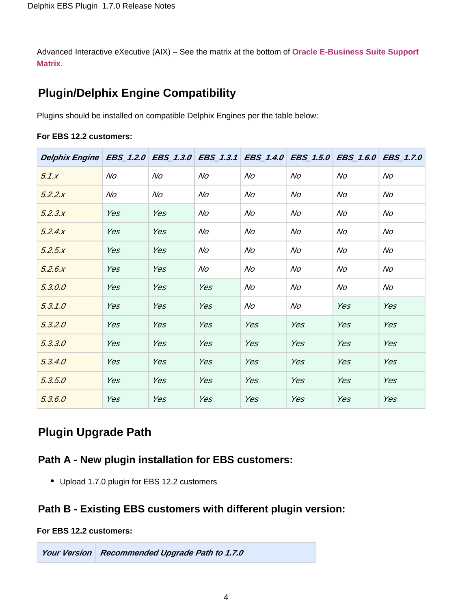Advanced Interactive eXecutive (AIX) – See the matrix at the bottom of **[Oracle E-Business Suite Support](https://docs.delphix.com/display/DOCS535/Oracle+E-Business+Suite+Support+Matrix)  [Matrix](https://docs.delphix.com/display/DOCS535/Oracle+E-Business+Suite+Support+Matrix)**.

### **Plugin/Delphix Engine Compatibility**

Plugins should be installed on compatible Delphix Engines per the table below:

|  |  |  | For EBS 12.2 customers: |
|--|--|--|-------------------------|
|--|--|--|-------------------------|

| Delphix Engine   EBS_1.2.0   EBS_1.3.0   EBS_1.3.1   EBS_1.4.0   EBS_1.5.0   EBS_1.6.0   EBS_1.7.0 |     |     |     |     |     |     |     |
|----------------------------------------------------------------------------------------------------|-----|-----|-----|-----|-----|-----|-----|
| 5.1x                                                                                               | No  | No  | No  | No  | No  | No  | No  |
| 5.2.2.x                                                                                            | No  | No  | No  | No  | No  | No  | No  |
| 5.2.3x                                                                                             | Yes | Yes | No  | No  | No  | No  | No  |
| 5.2.4.x                                                                                            | Yes | Yes | No  | No  | No  | No  | No  |
| 5.2.5x                                                                                             | Yes | Yes | No  | No  | No  | No  | No  |
| 5.2.6x                                                                                             | Yes | Yes | No  | No  | No  | No  | No  |
| 5.3.0.0                                                                                            | Yes | Yes | Yes | No  | No  | No  | No  |
| 5.3.1.0                                                                                            | Yes | Yes | Yes | No  | No  | Yes | Yes |
| 5.3.2.0                                                                                            | Yes | Yes | Yes | Yes | Yes | Yes | Yes |
| 5.3.3.0                                                                                            | Yes | Yes | Yes | Yes | Yes | Yes | Yes |
| 5.3.4.0                                                                                            | Yes | Yes | Yes | Yes | Yes | Yes | Yes |
| 5.3.5.0                                                                                            | Yes | Yes | Yes | Yes | Yes | Yes | Yes |
| 5.3.6.0                                                                                            | Yes | Yes | Yes | Yes | Yes | Yes | Yes |

### **Plugin Upgrade Path**

#### **Path A - New plugin installation for EBS customers:**

Upload 1.7.0 plugin for EBS 12.2 customers

#### **Path B - Existing EBS customers with different plugin version:**

#### **For EBS 12.2 customers:**

**Your Version Recommended Upgrade Path to 1.7.0**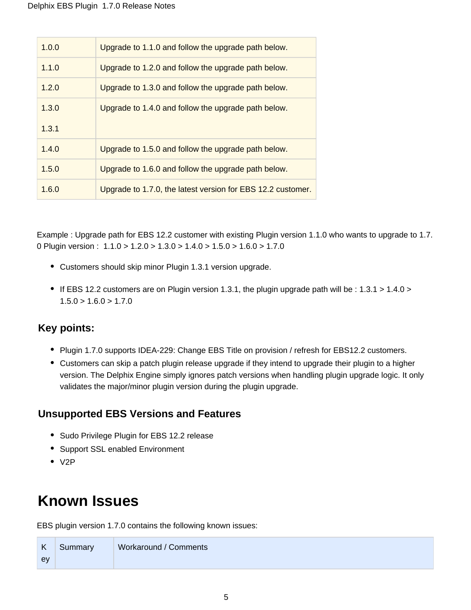| 1.0.0 | Upgrade to 1.1.0 and follow the upgrade path below. |
|-------|-----------------------------------------------------|
| 1.1.0 | Upgrade to 1.2.0 and follow the upgrade path below. |
| 1.2.0 | Upgrade to 1.3.0 and follow the upgrade path below. |
| 1.3.0 | Upgrade to 1.4.0 and follow the upgrade path below. |
| 1.3.1 |                                                     |
| 1.4.0 |                                                     |
|       | Upgrade to 1.5.0 and follow the upgrade path below. |
| 1.5.0 | Upgrade to 1.6.0 and follow the upgrade path below. |

Example : Upgrade path for EBS 12.2 customer with existing Plugin version 1.1.0 who wants to upgrade to 1.7. 0 Plugin version : 1.1.0 > 1.2.0 > 1.3.0 > 1.4.0 > 1.5.0 > 1.6.0 > 1.7.0

- Customers should skip minor Plugin 1.3.1 version upgrade.
- If EBS 12.2 customers are on Plugin version 1.3.1, the plugin upgrade path will be : 1.3.1 > 1.4.0 >  $1.5.0 > 1.6.0 > 1.7.0$

#### **Key points:**

- Plugin 1.7.0 supports IDEA-229: Change EBS Title on provision / refresh for EBS12.2 customers.
- Customers can skip a patch plugin release upgrade if they intend to upgrade their plugin to a higher version. The Delphix Engine simply ignores patch versions when handling plugin upgrade logic. It only validates the major/minor plugin version during the plugin upgrade.

#### **Unsupported EBS Versions and Features**

- Sudo Privilege Plugin for EBS 12.2 release
- Support SSL enabled Environment
- $\bullet$  V<sub>2</sub>P

# **Known Issues**

EBS plugin version 1.7.0 contains the following known issues:

| $\mathsf{K}$ | Summary | Workaround / Comments |
|--------------|---------|-----------------------|
| ev           |         |                       |